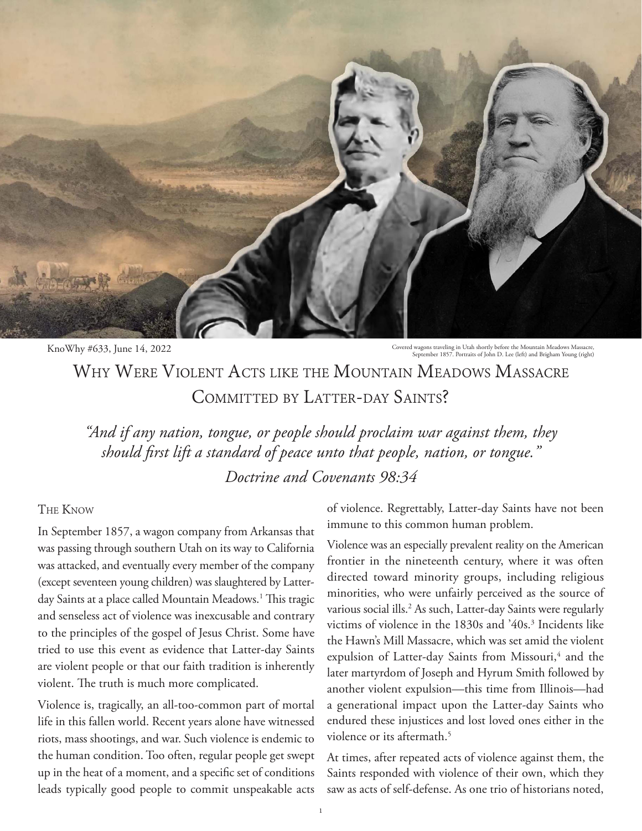

KnoWhy #633, June 14, 2022 Covered wagons traveling in Utah shortly before the Mountain Meadows Massacre,<br>September 1857. Portraits of John D. Lee (left) and Brigham Young (right)

Why Were Violent Acts like the Mountain Meadows Massacre COMMITTED BY LATTER-DAY SAINTS?

*"And if any nation, tongue, or people should proclaim war against them, they should first lift a standard of peace unto that people, nation, or tongue."* 

*Doctrine and Covenants 98:34*

## The Know

In September 1857, a wagon company from Arkansas that was passing through southern Utah on its way to California was attacked, and eventually every member of the company (except seventeen young children) was slaughtered by Latterday Saints at a place called Mountain Meadows.<sup>1</sup> This tragic and senseless act of violence was inexcusable and contrary to the principles of the gospel of Jesus Christ. Some have tried to use this event as evidence that Latter-day Saints are violent people or that our faith tradition is inherently violent. The truth is much more complicated.

Violence is, tragically, an all-too-common part of mortal life in this fallen world. Recent years alone have witnessed riots, mass shootings, and war. Such violence is endemic to the human condition. Too often, regular people get swept up in the heat of a moment, and a specific set of conditions leads typically good people to commit unspeakable acts of violence. Regrettably, Latter-day Saints have not been immune to this common human problem.

Violence was an especially prevalent reality on the American frontier in the nineteenth century, where it was often directed toward minority groups, including religious minorities, who were unfairly perceived as the source of various social ills.2 As such, Latter-day Saints were regularly victims of violence in the 1830s and '40s.<sup>3</sup> Incidents like the Hawn's Mill Massacre, which was set amid the violent expulsion of Latter-day Saints from Missouri,<sup>4</sup> and the later martyrdom of Joseph and Hyrum Smith followed by another violent expulsion—this time from Illinois—had a generational impact upon the Latter-day Saints who endured these injustices and lost loved ones either in the violence or its aftermath.<sup>5</sup>

At times, after repeated acts of violence against them, the Saints responded with violence of their own, which they saw as acts of self-defense. As one trio of historians noted,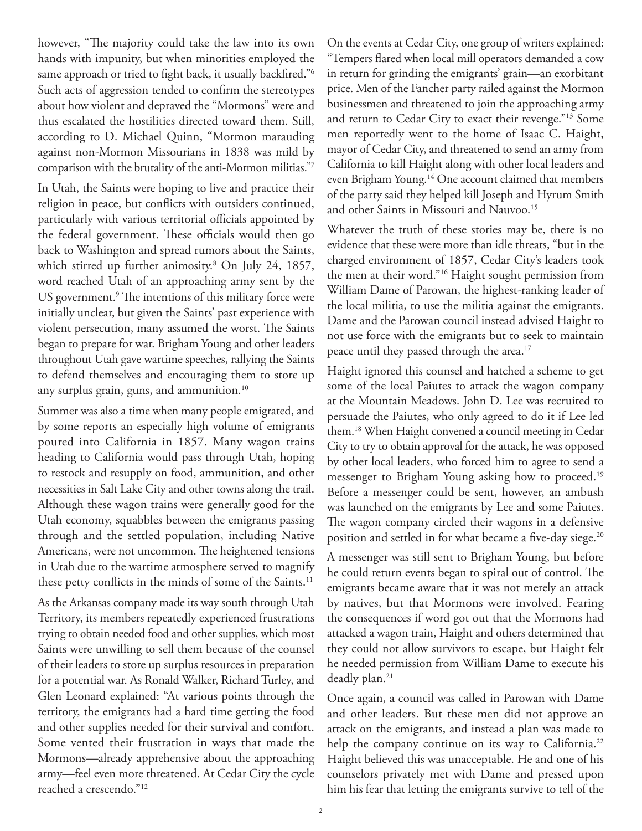however, "The majority could take the law into its own hands with impunity, but when minorities employed the same approach or tried to fight back, it usually backfired."<sup>6</sup> Such acts of aggression tended to confirm the stereotypes about how violent and depraved the "Mormons" were and thus escalated the hostilities directed toward them. Still, according to D. Michael Quinn, "Mormon marauding against non-Mormon Missourians in 1838 was mild by comparison with the brutality of the anti-Mormon militias."7

In Utah, the Saints were hoping to live and practice their religion in peace, but conflicts with outsiders continued, particularly with various territorial officials appointed by the federal government. These officials would then go back to Washington and spread rumors about the Saints, which stirred up further animosity.8 On July 24, 1857, word reached Utah of an approaching army sent by the US government.<sup>9</sup> The intentions of this military force were initially unclear, but given the Saints' past experience with violent persecution, many assumed the worst. The Saints began to prepare for war. Brigham Young and other leaders throughout Utah gave wartime speeches, rallying the Saints to defend themselves and encouraging them to store up any surplus grain, guns, and ammunition.<sup>10</sup>

Summer was also a time when many people emigrated, and by some reports an especially high volume of emigrants poured into California in 1857. Many wagon trains heading to California would pass through Utah, hoping to restock and resupply on food, ammunition, and other necessities in Salt Lake City and other towns along the trail. Although these wagon trains were generally good for the Utah economy, squabbles between the emigrants passing through and the settled population, including Native Americans, were not uncommon. The heightened tensions in Utah due to the wartime atmosphere served to magnify these petty conflicts in the minds of some of the Saints.<sup>11</sup>

As the Arkansas company made its way south through Utah Territory, its members repeatedly experienced frustrations trying to obtain needed food and other supplies, which most Saints were unwilling to sell them because of the counsel of their leaders to store up surplus resources in preparation for a potential war. As Ronald Walker, Richard Turley, and Glen Leonard explained: "At various points through the territory, the emigrants had a hard time getting the food and other supplies needed for their survival and comfort. Some vented their frustration in ways that made the Mormons—already apprehensive about the approaching army—feel even more threatened. At Cedar City the cycle reached a crescendo."12

On the events at Cedar City, one group of writers explained: "Tempers flared when local mill operators demanded a cow in return for grinding the emigrants' grain—an exorbitant price. Men of the Fancher party railed against the Mormon businessmen and threatened to join the approaching army and return to Cedar City to exact their revenge."13 Some men reportedly went to the home of Isaac C. Haight, mayor of Cedar City, and threatened to send an army from California to kill Haight along with other local leaders and even Brigham Young.<sup>14</sup> One account claimed that members of the party said they helped kill Joseph and Hyrum Smith and other Saints in Missouri and Nauvoo.<sup>15</sup>

Whatever the truth of these stories may be, there is no evidence that these were more than idle threats, "but in the charged environment of 1857, Cedar City's leaders took the men at their word."16 Haight sought permission from William Dame of Parowan, the highest-ranking leader of the local militia, to use the militia against the emigrants. Dame and the Parowan council instead advised Haight to not use force with the emigrants but to seek to maintain peace until they passed through the area.<sup>17</sup>

Haight ignored this counsel and hatched a scheme to get some of the local Paiutes to attack the wagon company at the Mountain Meadows. John D. Lee was recruited to persuade the Paiutes, who only agreed to do it if Lee led them.18 When Haight convened a council meeting in Cedar City to try to obtain approval for the attack, he was opposed by other local leaders, who forced him to agree to send a messenger to Brigham Young asking how to proceed.<sup>19</sup> Before a messenger could be sent, however, an ambush was launched on the emigrants by Lee and some Paiutes. The wagon company circled their wagons in a defensive position and settled in for what became a five-day siege.<sup>20</sup>

A messenger was still sent to Brigham Young, but before he could return events began to spiral out of control. The emigrants became aware that it was not merely an attack by natives, but that Mormons were involved. Fearing the consequences if word got out that the Mormons had attacked a wagon train, Haight and others determined that they could not allow survivors to escape, but Haight felt he needed permission from William Dame to execute his deadly plan. $21$ 

Once again, a council was called in Parowan with Dame and other leaders. But these men did not approve an attack on the emigrants, and instead a plan was made to help the company continue on its way to California.<sup>22</sup> Haight believed this was unacceptable. He and one of his counselors privately met with Dame and pressed upon him his fear that letting the emigrants survive to tell of the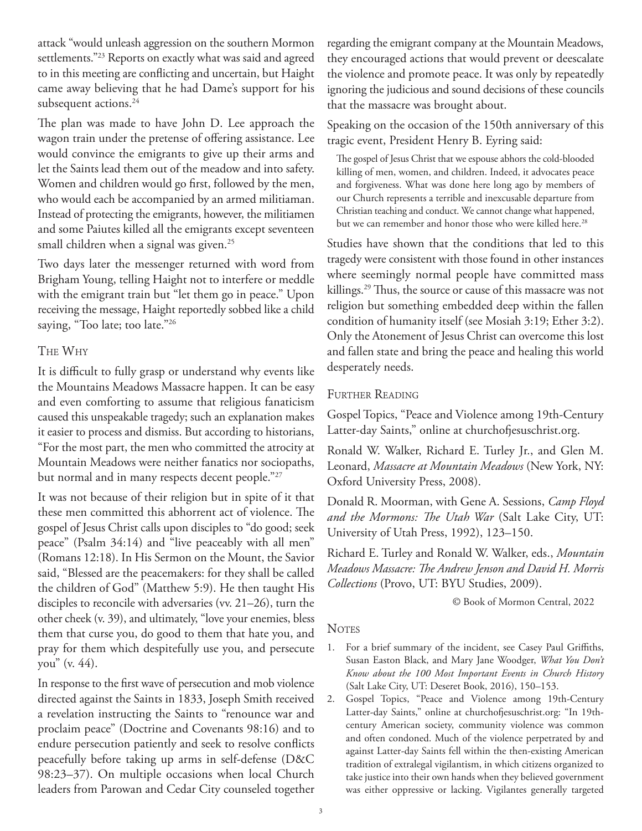attack "would unleash aggression on the southern Mormon settlements."23 Reports on exactly what was said and agreed to in this meeting are conflicting and uncertain, but Haight came away believing that he had Dame's support for his subsequent actions.<sup>24</sup>

The plan was made to have John D. Lee approach the wagon train under the pretense of offering assistance. Lee would convince the emigrants to give up their arms and let the Saints lead them out of the meadow and into safety. Women and children would go first, followed by the men, who would each be accompanied by an armed militiaman. Instead of protecting the emigrants, however, the militiamen and some Paiutes killed all the emigrants except seventeen small children when a signal was given.<sup>25</sup>

Two days later the messenger returned with word from Brigham Young, telling Haight not to interfere or meddle with the emigrant train but "let them go in peace." Upon receiving the message, Haight reportedly sobbed like a child saying, "Too late; too late."26

## The Why

It is difficult to fully grasp or understand why events like the Mountains Meadows Massacre happen. It can be easy and even comforting to assume that religious fanaticism caused this unspeakable tragedy; such an explanation makes it easier to process and dismiss. But according to historians, "For the most part, the men who committed the atrocity at Mountain Meadows were neither fanatics nor sociopaths, but normal and in many respects decent people."27

It was not because of their religion but in spite of it that these men committed this abhorrent act of violence. The gospel of Jesus Christ calls upon disciples to "do good; seek peace" (Psalm 34:14) and "live peaceably with all men" (Romans 12:18). In His Sermon on the Mount, the Savior said, "Blessed are the peacemakers: for they shall be called the children of God" (Matthew 5:9). He then taught His disciples to reconcile with adversaries (vv. 21–26), turn the other cheek (v. 39), and ultimately, "love your enemies, bless them that curse you, do good to them that hate you, and pray for them which despitefully use you, and persecute you" (v. 44).

In response to the first wave of persecution and mob violence directed against the Saints in 1833, Joseph Smith received a revelation instructing the Saints to "renounce war and proclaim peace" (Doctrine and Covenants 98:16) and to endure persecution patiently and seek to resolve conflicts peacefully before taking up arms in self-defense (D&C 98:23–37). On multiple occasions when local Church leaders from Parowan and Cedar City counseled together

regarding the emigrant company at the Mountain Meadows, they encouraged actions that would prevent or deescalate the violence and promote peace. It was only by repeatedly ignoring the judicious and sound decisions of these councils that the massacre was brought about.

Speaking on the occasion of the 150th anniversary of this tragic event, President Henry B. Eyring said:

The gospel of Jesus Christ that we espouse abhors the cold-blooded killing of men, women, and children. Indeed, it advocates peace and forgiveness. What was done here long ago by members of our Church represents a terrible and inexcusable departure from Christian teaching and conduct. We cannot change what happened, but we can remember and honor those who were killed here.<sup>28</sup>

Studies have shown that the conditions that led to this tragedy were consistent with those found in other instances where seemingly normal people have committed mass killings.<sup>29</sup> Thus, the source or cause of this massacre was not religion but something embedded deep within the fallen condition of humanity itself (see Mosiah 3:19; Ether 3:2). Only the Atonement of Jesus Christ can overcome this lost and fallen state and bring the peace and healing this world desperately needs.

## FURTHER READING

Gospel Topics, "Peace and Violence among 19th-Century Latter-day Saints," online at churchofjesuschrist.org.

Ronald W. Walker, Richard E. Turley Jr., and Glen M. Leonard, *Massacre at Mountain Meadows* (New York, NY: Oxford University Press, 2008).

Donald R. Moorman, with Gene A. Sessions, *Camp Floyd and the Mormons: The Utah War* (Salt Lake City, UT: University of Utah Press, 1992), 123–150.

Richard E. Turley and Ronald W. Walker, eds., *Mountain Meadows Massacre: The Andrew Jenson and David H. Morris Collections* (Provo, UT: BYU Studies, 2009).

© Book of Mormon Central, 2022

## **NOTES**

- 1. For a brief summary of the incident, see Casey Paul Griffiths, Susan Easton Black, and Mary Jane Woodger, *What You Don't Know about the 100 Most Important Events in Church History* (Salt Lake City, UT: Deseret Book, 2016), 150–153.
- 2. Gospel Topics, "Peace and Violence among 19th-Century Latter-day Saints," online at churchofjesuschrist.org: "In 19thcentury American society, community violence was common and often condoned. Much of the violence perpetrated by and against Latter-day Saints fell within the then-existing American tradition of extralegal vigilantism, in which citizens organized to take justice into their own hands when they believed government was either oppressive or lacking. Vigilantes generally targeted